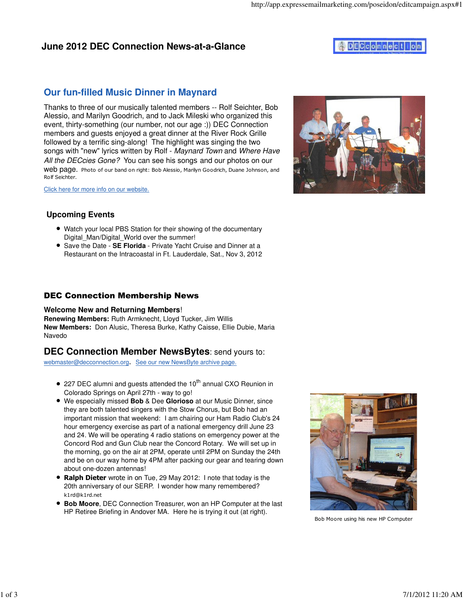### **June 2012 DEC Connection News-at-a-Glance**

# **ADECCONNection**

## **Our fun-filled Music Dinner in Maynard**

Thanks to three of our musically talented members -- Rolf Seichter, Bob Alessio, and Marilyn Goodrich, and to Jack Mileski who organized this event, thirty-something (our number, not our age :)) DEC Connection members and guests enjoyed a great dinner at the River Rock Grille followed by a terrific sing-along! The highlight was singing the two songs with "new" lyrics written by Rolf - Maynard Town and Where Have All the DECcies Gone? You can see his songs and our photos on our web page. Photo of our band on right: Bob Alessio, Marilyn Goodrich, Duane Johnson, and Rolf Seichter.

Click here for more info on our website.



- Watch your local PBS Station for their showing of the documentary Digital Man/Digital World over the summer!
- Save the Date **SE Florida** Private Yacht Cruise and Dinner at a Restaurant on the Intracoastal in Ft. Lauderdale, Sat., Nov 3, 2012

### DEC Connection Membership News

#### **Welcome New and Returning Members**!

**Renewing Members:** Ruth Armknecht, Lloyd Tucker, Jim Willis **New Members:** Don Alusic, Theresa Burke, Kathy Caisse, Ellie Dubie, Maria Navedo

#### **DEC Connection Member NewsBytes**: send yours to:

webmaster@decconnection.org. See our new NewsByte archive page.

- $\bullet$  227 DEC alumni and quests attended the 10<sup>th</sup> annual CXO Reunion in Colorado Springs on April 27th - way to go!
- We especially missed **Bob** & Dee **Glorioso** at our Music Dinner, since they are both talented singers with the Stow Chorus, but Bob had an important mission that weekend: I am chairing our Ham Radio Club's 24 hour emergency exercise as part of a national emergency drill June 23 and 24. We will be operating 4 radio stations on emergency power at the Concord Rod and Gun Club near the Concord Rotary. We will set up in the morning, go on the air at 2PM, operate until 2PM on Sunday the 24th and be on our way home by 4PM after packing our gear and tearing down about one-dozen antennas!
- Ralph Dieter wrote in on Tue, 29 May 2012: I note that today is the 20th anniversary of our SERP. I wonder how many remembered? k1rd@k1rd.net
- **Bob Moore**, DEC Connection Treasurer, won an HP Computer at the last HP Retiree Briefing in Andover MA. Here he is trying it out (at right).



Bob Moore using his new HP Computer